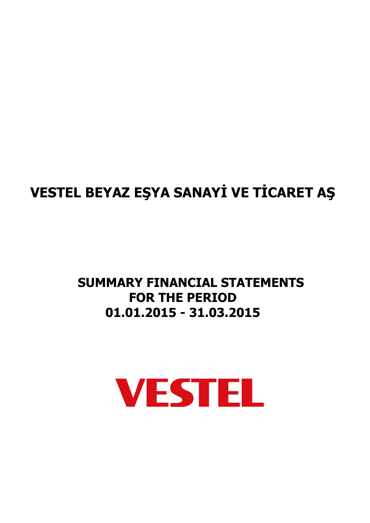# **SUMMARY FINANCIAL STATEMENTS FOR THE PERIOD 01.01.2015 - 31.03.2015**

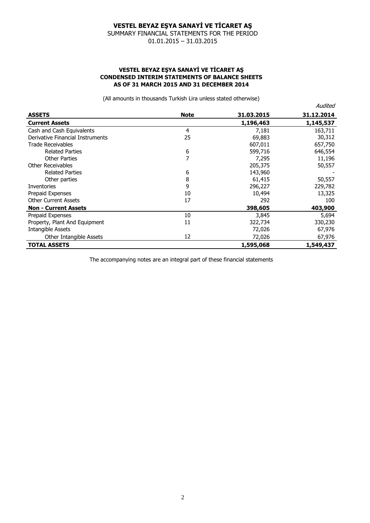SUMMARY FINANCIAL STATEMENTS FOR THE PERIOD 01.01.2015 – 31.03.2015

#### **VESTEL BEYAZ EŞYA SANAYİ VE TİCARET AŞ CONDENSED INTERIM STATEMENTS OF BALANCE SHEETS AS OF 31 MARCH 2015 AND 31 DECEMBER 2014**

(All amounts in thousands Turkish Lira unless stated otherwise)

|                                  |             |            | Audited    |
|----------------------------------|-------------|------------|------------|
| <b>ASSETS</b>                    | <b>Note</b> | 31.03.2015 | 31.12.2014 |
| <b>Current Assets</b>            |             | 1,196,463  | 1,145,537  |
| Cash and Cash Equivalents        | 4           | 7,181      | 163,711    |
| Derivative Financial Instruments | 25          | 69,883     | 30,312     |
| <b>Trade Receivables</b>         |             | 607,011    | 657,750    |
| <b>Related Parties</b>           | 6           | 599,716    | 646,554    |
| Other Parties                    | 7           | 7,295      | 11,196     |
| Other Receivables                |             | 205,375    | 50,557     |
| <b>Related Parties</b>           | 6           | 143,960    |            |
| Other parties                    | 8           | 61,415     | 50,557     |
| Inventories                      | 9           | 296,227    | 229,782    |
| Prepaid Expenses                 | 10          | 10,494     | 13,325     |
| <b>Other Current Assets</b>      | 17          | 292        | 100        |
| <b>Non - Current Assets</b>      |             | 398,605    | 403,900    |
| Prepaid Expenses                 | 10          | 3,845      | 5,694      |
| Property, Plant And Equipment    | 11          | 322,734    | 330,230    |
| <b>Intangible Assets</b>         |             | 72,026     | 67,976     |
| Other Intangible Assets          | 12          | 72,026     | 67,976     |
| <b>TOTAL ASSETS</b>              |             | 1,595,068  | 1,549,437  |

The accompanying notes are an integral part of these financial statements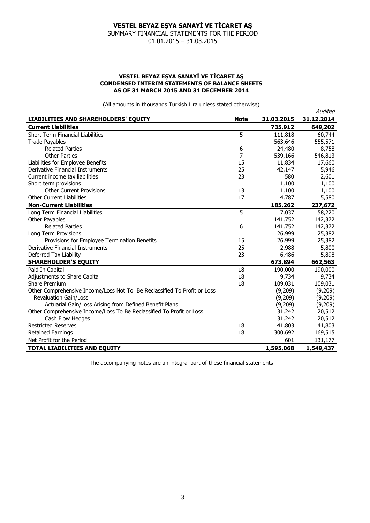SUMMARY FINANCIAL STATEMENTS FOR THE PERIOD 01.01.2015 – 31.03.2015

#### **VESTEL BEYAZ EŞYA SANAYİ VE TİCARET AŞ CONDENSED INTERIM STATEMENTS OF BALANCE SHEETS AS OF 31 MARCH 2015 AND 31 DECEMBER 2014**

(All amounts in thousands Turkish Lira unless stated otherwise)

|                                                                          |             |            | Audited    |
|--------------------------------------------------------------------------|-------------|------------|------------|
| LIABILITIES AND SHAREHOLDERS' EQUITY                                     | <b>Note</b> | 31.03.2015 | 31.12.2014 |
| <b>Current Liabilities</b>                                               |             | 735,912    | 649,202    |
| <b>Short Term Financial Liabilities</b>                                  | 5           | 111,818    | 60,744     |
| <b>Trade Payables</b>                                                    |             | 563,646    | 555,571    |
| <b>Related Parties</b>                                                   | 6           | 24,480     | 8,758      |
| <b>Other Parties</b>                                                     | 7           | 539,166    | 546,813    |
| Liabilities for Employee Benefits                                        | 15          | 11,834     | 17,660     |
| Derivative Financial Instruments                                         | 25          | 42,147     | 5,946      |
| Current income tax liabilities                                           | 23          | 580        | 2,601      |
| Short term provisions                                                    |             | 1,100      | 1,100      |
| <b>Other Current Provisions</b>                                          | 13          | 1,100      | 1,100      |
| <b>Other Current Liabilities</b>                                         | 17          | 4,787      | 5,580      |
| <b>Non-Current Liabilities</b>                                           |             | 185,262    | 237,672    |
| Long Term Financial Liabilities                                          | 5           | 7,037      | 58,220     |
| Other Payables                                                           |             | 141,752    | 142,372    |
| <b>Related Parties</b>                                                   | 6           | 141,752    | 142,372    |
| Long Term Provisions                                                     |             | 26,999     | 25,382     |
| Provisions for Employee Termination Benefits                             | 15          | 26,999     | 25,382     |
| Derivative Financial Instruments                                         | 25          | 2,988      | 5,800      |
| Deferred Tax Liability                                                   | 23          | 6,486      | 5,898      |
| <b>SHAREHOLDER'S EQUITY</b>                                              |             | 673,894    | 662,563    |
| Paid In Capital                                                          | 18          | 190,000    | 190,000    |
| Adjustments to Share Capital                                             | 18          | 9,734      | 9,734      |
| <b>Share Premium</b>                                                     | 18          | 109,031    | 109,031    |
| Other Comprehensive Income/Loss Not To Be Reclassified To Profit or Loss |             | (9,209)    | (9,209)    |
| <b>Revaluation Gain/Loss</b>                                             |             | (9,209)    | (9,209)    |
| Actuarial Gain/Loss Arising from Defined Benefit Plans                   |             | (9,209)    | (9,209)    |
| Other Comprehensive Income/Loss To Be Reclassified To Profit or Loss     |             | 31,242     | 20,512     |
| Cash Flow Hedges                                                         |             | 31,242     | 20,512     |
| <b>Restricted Reserves</b>                                               | 18          | 41,803     | 41,803     |
| <b>Retained Earnings</b>                                                 | 18          | 300,692    | 169,515    |
| Net Profit for the Period                                                |             | 601        | 131,177    |
| <b>TOTAL LIABILITIES AND EQUITY</b>                                      |             | 1,595,068  | 1,549,437  |

The accompanying notes are an integral part of these financial statements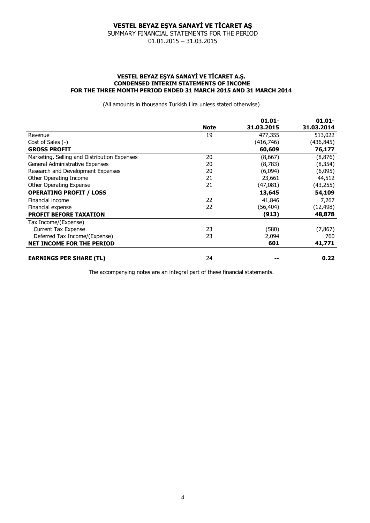#### **VESTEL BEYAZ EŞYA SANAYİ VE TİCARET AŞ** SUMMARY FINANCIAL STATEMENTS FOR THE PERIOD

01.01.2015 – 31.03.2015

#### **VESTEL BEYAZ EŞYA SANAYİ VE TİCARET A.Ş. CONDENSED INTERIM STATEMENTS OF INCOME FOR THE THREE MONTH PERIOD ENDED 31 MARCH 2015 AND 31 MARCH 2014**

(All amounts in thousands Turkish Lira unless stated otherwise)

|                                              |             | $01.01 -$  | $01.01 -$  |
|----------------------------------------------|-------------|------------|------------|
|                                              | <b>Note</b> | 31.03.2015 | 31.03.2014 |
| Revenue                                      | 19          | 477,355    | 513,022    |
| Cost of Sales (-)                            |             | (416,746)  | (436,845)  |
| <b>GROSS PROFIT</b>                          |             | 60,609     | 76,177     |
| Marketing, Selling and Distribution Expenses | 20          | (8,667)    | (8, 876)   |
| General Administrative Expenses              | 20          | (8, 783)   | (8, 354)   |
| Research and Development Expenses            | 20          | (6,094)    | (6,095)    |
| Other Operating Income                       | 21          | 23,661     | 44,512     |
| Other Operating Expense                      | 21          | (47,081)   | (43, 255)  |
| <b>OPERATING PROFIT / LOSS</b>               |             | 13,645     | 54,109     |
| Financial income                             | 22          | 41,846     | 7,267      |
| Financial expense                            | 22          | (56, 404)  | (12, 498)  |
| <b>PROFIT BEFORE TAXATION</b>                |             | (913)      | 48,878     |
| Tax Income/(Expense)                         |             |            |            |
| <b>Current Tax Expense</b>                   | 23          | (580)      | (7, 867)   |
| Deferred Tax Income/(Expense)                | 23          | 2,094      | 760        |
| <b>NET INCOME FOR THE PERIOD</b>             |             | 601        | 41,771     |
| <b>EARNINGS PER SHARE (TL)</b>               | 24          |            | 0.22       |

The accompanying notes are an integral part of these financial statements.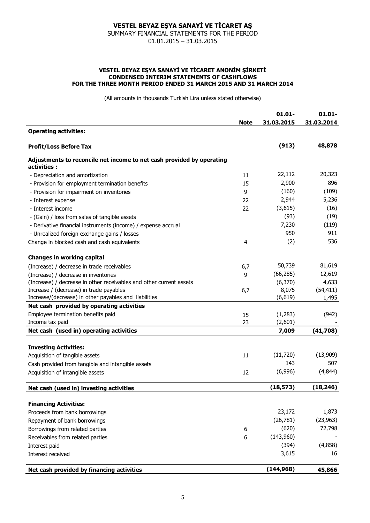SUMMARY FINANCIAL STATEMENTS FOR THE PERIOD 01.01.2015 – 31.03.2015

#### **VESTEL BEYAZ EŞYA SANAYİ VE TİCARET ANONİM ŞİRKETİ CONDENSED INTERIM STATEMENTS OF CASHFLOWS FOR THE THREE MONTH PERIOD ENDED 31 MARCH 2015 AND 31 MARCH 2014**

(All amounts in thousands Turkish Lira unless stated otherwise)

|                                                                                       | <b>Note</b> | $01.01 -$<br>31.03.2015 | $01.01 -$<br>31.03.2014 |
|---------------------------------------------------------------------------------------|-------------|-------------------------|-------------------------|
| <b>Operating activities:</b>                                                          |             |                         |                         |
| <b>Profit/Loss Before Tax</b>                                                         |             | (913)                   | 48,878                  |
| Adjustments to reconcile net income to net cash provided by operating<br>activities : |             |                         |                         |
| - Depreciation and amortization                                                       | 11          | 22,112                  | 20,323                  |
| - Provision for employment termination benefits                                       | 15          | 2,900                   | 896                     |
| - Provision for impairment on inventories                                             | 9           | (160)                   | (109)                   |
| - Interest expense                                                                    | 22          | 2,944                   | 5,236                   |
| - Interest income                                                                     | 22          | (3,615)                 | (16)                    |
| - (Gain) / loss from sales of tangible assets                                         |             | (93)                    | (19)                    |
| - Derivative financial instruments (income) / expense accrual                         |             | 7,230                   | (119)                   |
| - Unrealized foreign exchange gains / losses                                          |             | 950                     | 911                     |
| Change in blocked cash and cash equivalents                                           | 4           | (2)                     | 536                     |
| <b>Changes in working capital</b>                                                     |             |                         |                         |
| (Increase) / decrease in trade receivables                                            | 6,7         | 50,739                  | 81,619                  |
| (Increase) / decrease in inventories                                                  | 9           | (66, 285)               | 12,619                  |
| (Increase) / decrease in other receivables and other current assets                   |             | (6, 370)                | 4,633                   |
| Increase / (decrease) in trade payables                                               | 6,7         | 8,075                   | (54, 411)               |
| Increase/(decrease) in other payables and liabilities                                 |             | (6, 619)                | 1,495                   |
| Net cash provided by operating activities                                             |             |                         |                         |
| Employee termination benefits paid                                                    | 15          | (1,283)                 | (942)                   |
| Income tax paid                                                                       | 23          | (2,601)                 |                         |
| Net cash (used in) operating activities                                               |             | 7,009                   | (41,708)                |
| <b>Investing Activities:</b>                                                          |             |                         |                         |
| Acquisition of tangible assets                                                        | 11          | (11, 720)               | (13,909)                |
| Cash provided from tangible and intangible assets                                     |             | 143                     | 507                     |
| Acquisition of intangible assets                                                      | 12          | (6,996)                 | (4,844)                 |
| Net cash (used in) investing activities                                               |             | (18, 573)               | (18, 246)               |
| <b>Financing Activities:</b>                                                          |             |                         |                         |
| Proceeds from bank borrowings                                                         |             | 23,172                  | 1,873                   |
|                                                                                       |             | (26, 781)               | (23, 963)               |
| Repayment of bank borrowings                                                          |             | (620)                   | 72,798                  |
| Borrowings from related parties                                                       | 6           | (143,960)               |                         |
| Receivables from related parties                                                      | 6           | (394)                   |                         |
| Interest paid                                                                         |             |                         | (4,858)                 |
| Interest received                                                                     |             | 3,615                   | 16                      |
| Net cash provided by financing activities                                             |             | (144, 968)              | 45,866                  |